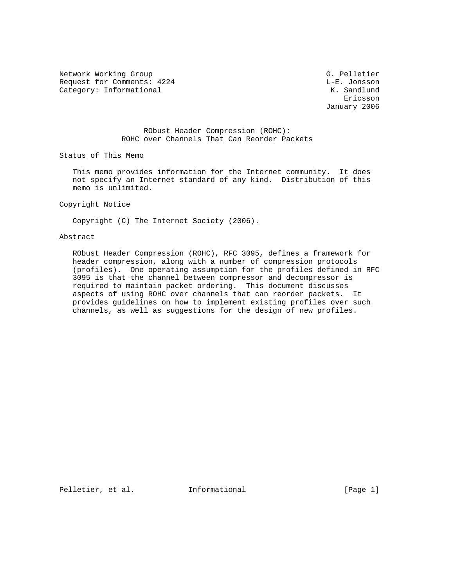Network Working Group G. Pelletier Request for Comments: 4224 L-E. Jonsson<br>
Category: Informational Manuscriptic Manuscriptic Manuscriptic Manuscriptic Manuscriptic Manuscriptic Manuscri Category: Informational

eric and the contract of the contract of the contract of the contract of the contract of the contract of the contract of the contract of the contract of the contract of the contract of the contract of the contract of the c January 2006

> RObust Header Compression (ROHC): ROHC over Channels That Can Reorder Packets

Status of This Memo

 This memo provides information for the Internet community. It does not specify an Internet standard of any kind. Distribution of this memo is unlimited.

Copyright Notice

Copyright (C) The Internet Society (2006).

#### Abstract

 RObust Header Compression (ROHC), RFC 3095, defines a framework for header compression, along with a number of compression protocols (profiles). One operating assumption for the profiles defined in RFC 3095 is that the channel between compressor and decompressor is required to maintain packet ordering. This document discusses aspects of using ROHC over channels that can reorder packets. It provides guidelines on how to implement existing profiles over such channels, as well as suggestions for the design of new profiles.

Pelletier, et al. Informational [Page 1]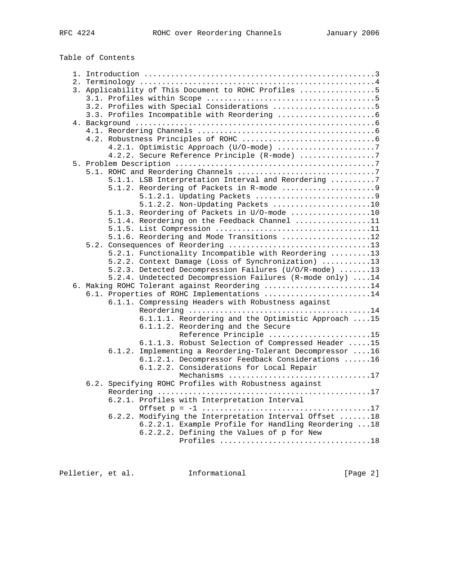Table of Contents

|  |        | 3. Applicability of This Document to ROHC Profiles 5                        |
|--|--------|-----------------------------------------------------------------------------|
|  |        |                                                                             |
|  |        | 3.2. Profiles with Special Considerations 5                                 |
|  |        |                                                                             |
|  |        |                                                                             |
|  |        |                                                                             |
|  |        |                                                                             |
|  |        | 4.2.1. Optimistic Approach (U/O-mode) 7                                     |
|  |        | 4.2.2. Secure Reference Principle (R-mode) 7                                |
|  |        |                                                                             |
|  |        | 5.1.1. LSB Interpretation Interval and Reordering 7                         |
|  |        |                                                                             |
|  |        | 5.1.2.1. Updating Packets 9                                                 |
|  |        | 5.1.2.2. Non-Updating Packets 10                                            |
|  |        | 5.1.3. Reordering of Packets in U/O-mode 10                                 |
|  |        | 5.1.4. Reordering on the Feedback Channel 11                                |
|  |        |                                                                             |
|  |        | 5.1.6. Reordering and Mode Transitions 12                                   |
|  |        |                                                                             |
|  |        | 5.2.1. Functionality Incompatible with Reordering 13                        |
|  |        | 5.2.2. Context Damage (Loss of Synchronization) 13                          |
|  |        | 5.2.3. Detected Decompression Failures (U/O/R-mode) 13                      |
|  |        | 5.2.4. Undetected Decompression Failures (R-mode only) 14                   |
|  |        | 6. Making ROHC Tolerant against Reordering 14                               |
|  |        | 6.1. Properties of ROHC Implementations 14                                  |
|  |        | 6.1.1. Compressing Headers with Robustness against                          |
|  |        |                                                                             |
|  |        | 6.1.1.1. Reordering and the Optimistic Approach 15                          |
|  |        | 6.1.1.2. Reordering and the Secure                                          |
|  |        | Reference Principle 15<br>6.1.1.3. Robust Selection of Compressed Header 15 |
|  | 6.1.2. | Implementing a Reordering-Tolerant Decompressor 16                          |
|  |        | 6.1.2.1. Decompressor Feedback Considerations 16                            |
|  |        | 6.1.2.2. Considerations for Local Repair                                    |
|  |        | Mechanisms 17                                                               |
|  |        | 6.2. Specifying ROHC Profiles with Robustness against                       |
|  |        |                                                                             |
|  |        | 6.2.1. Profiles with Interpretation Interval                                |
|  |        |                                                                             |
|  |        | 6.2.2. Modifying the Interpretation Interval Offset 18                      |
|  |        | 6.2.2.1. Example Profile for Handling Reordering 18                         |
|  |        | 6.2.2.2. Defining the Values of p for New                                   |
|  |        | Profiles 18                                                                 |
|  |        |                                                                             |

Pelletier, et al. 1nformational [Page 2]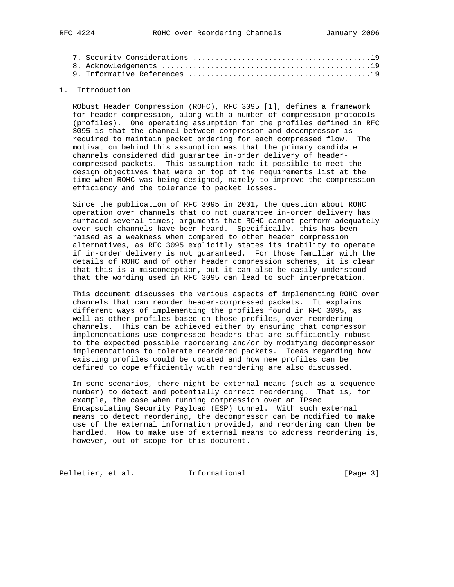## 1. Introduction

 RObust Header Compression (ROHC), RFC 3095 [1], defines a framework for header compression, along with a number of compression protocols (profiles). One operating assumption for the profiles defined in RFC 3095 is that the channel between compressor and decompressor is required to maintain packet ordering for each compressed flow. The motivation behind this assumption was that the primary candidate channels considered did guarantee in-order delivery of header compressed packets. This assumption made it possible to meet the design objectives that were on top of the requirements list at the time when ROHC was being designed, namely to improve the compression efficiency and the tolerance to packet losses.

 Since the publication of RFC 3095 in 2001, the question about ROHC operation over channels that do not guarantee in-order delivery has surfaced several times; arguments that ROHC cannot perform adequately over such channels have been heard. Specifically, this has been raised as a weakness when compared to other header compression alternatives, as RFC 3095 explicitly states its inability to operate if in-order delivery is not guaranteed. For those familiar with the details of ROHC and of other header compression schemes, it is clear that this is a misconception, but it can also be easily understood that the wording used in RFC 3095 can lead to such interpretation.

 This document discusses the various aspects of implementing ROHC over channels that can reorder header-compressed packets. It explains different ways of implementing the profiles found in RFC 3095, as well as other profiles based on those profiles, over reordering channels. This can be achieved either by ensuring that compressor implementations use compressed headers that are sufficiently robust to the expected possible reordering and/or by modifying decompressor implementations to tolerate reordered packets. Ideas regarding how existing profiles could be updated and how new profiles can be defined to cope efficiently with reordering are also discussed.

 In some scenarios, there might be external means (such as a sequence number) to detect and potentially correct reordering. That is, for example, the case when running compression over an IPsec Encapsulating Security Payload (ESP) tunnel. With such external means to detect reordering, the decompressor can be modified to make use of the external information provided, and reordering can then be handled. How to make use of external means to address reordering is, however, out of scope for this document.

Pelletier, et al. 1nformational 1999 [Page 3]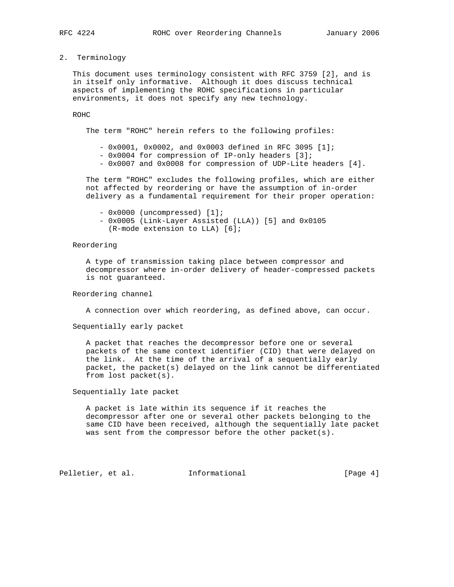## 2. Terminology

 This document uses terminology consistent with RFC 3759 [2], and is in itself only informative. Although it does discuss technical aspects of implementing the ROHC specifications in particular environments, it does not specify any new technology.

#### ROHC

The term "ROHC" herein refers to the following profiles:

- 0x0001, 0x0002, and 0x0003 defined in RFC 3095 [1];

- 0x0004 for compression of IP-only headers [3];
- 0x0007 and 0x0008 for compression of UDP-Lite headers [4].

 The term "ROHC" excludes the following profiles, which are either not affected by reordering or have the assumption of in-order delivery as a fundamental requirement for their proper operation:

- 0x0000 (uncompressed) [1];

 - 0x0005 (Link-Layer Assisted (LLA)) [5] and 0x0105 (R-mode extension to LLA) [6];

# Reordering

 A type of transmission taking place between compressor and decompressor where in-order delivery of header-compressed packets is not guaranteed.

Reordering channel

A connection over which reordering, as defined above, can occur.

Sequentially early packet

 A packet that reaches the decompressor before one or several packets of the same context identifier (CID) that were delayed on the link. At the time of the arrival of a sequentially early packet, the packet(s) delayed on the link cannot be differentiated from lost packet(s).

Sequentially late packet

 A packet is late within its sequence if it reaches the decompressor after one or several other packets belonging to the same CID have been received, although the sequentially late packet was sent from the compressor before the other packet(s).

Pelletier, et al. Informational [Page 4]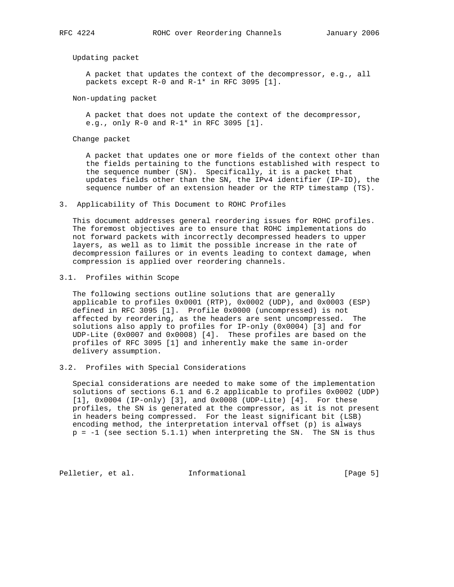Updating packet

 A packet that updates the context of the decompressor, e.g., all packets except R-0 and R-1\* in RFC 3095 [1].

Non-updating packet

 A packet that does not update the context of the decompressor, e.g., only R-0 and R-1\* in RFC 3095 [1].

Change packet

 A packet that updates one or more fields of the context other than the fields pertaining to the functions established with respect to the sequence number (SN). Specifically, it is a packet that updates fields other than the SN, the IPv4 identifier (IP-ID), the sequence number of an extension header or the RTP timestamp (TS).

3. Applicability of This Document to ROHC Profiles

 This document addresses general reordering issues for ROHC profiles. The foremost objectives are to ensure that ROHC implementations do not forward packets with incorrectly decompressed headers to upper layers, as well as to limit the possible increase in the rate of decompression failures or in events leading to context damage, when compression is applied over reordering channels.

3.1. Profiles within Scope

 The following sections outline solutions that are generally applicable to profiles 0x0001 (RTP), 0x0002 (UDP), and 0x0003 (ESP) defined in RFC 3095 [1]. Profile 0x0000 (uncompressed) is not affected by reordering, as the headers are sent uncompressed. The solutions also apply to profiles for IP-only (0x0004) [3] and for UDP-Lite (0x0007 and 0x0008) [4]. These profiles are based on the profiles of RFC 3095 [1] and inherently make the same in-order delivery assumption.

3.2. Profiles with Special Considerations

 Special considerations are needed to make some of the implementation solutions of sections 6.1 and 6.2 applicable to profiles 0x0002 (UDP) [1], 0x0004 (IP-only) [3], and 0x0008 (UDP-Lite) [4]. For these profiles, the SN is generated at the compressor, as it is not present in headers being compressed. For the least significant bit (LSB) encoding method, the interpretation interval offset (p) is always  $p = -1$  (see section 5.1.1) when interpreting the SN. The SN is thus

Pelletier, et al. Informational [Page 5]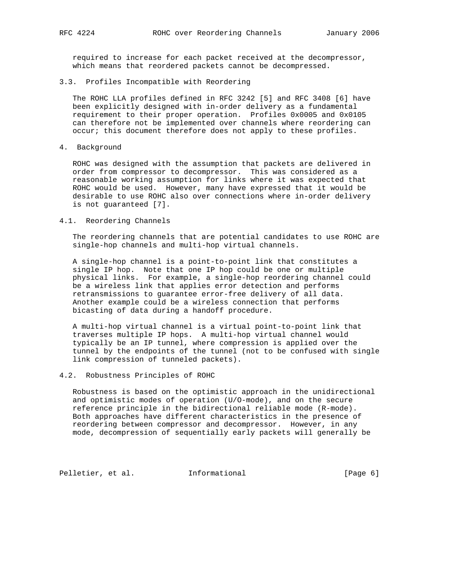required to increase for each packet received at the decompressor, which means that reordered packets cannot be decompressed.

#### 3.3. Profiles Incompatible with Reordering

 The ROHC LLA profiles defined in RFC 3242 [5] and RFC 3408 [6] have been explicitly designed with in-order delivery as a fundamental requirement to their proper operation. Profiles 0x0005 and 0x0105 can therefore not be implemented over channels where reordering can occur; this document therefore does not apply to these profiles.

4. Background

 ROHC was designed with the assumption that packets are delivered in order from compressor to decompressor. This was considered as a reasonable working assumption for links where it was expected that ROHC would be used. However, many have expressed that it would be desirable to use ROHC also over connections where in-order delivery is not guaranteed [7].

#### 4.1. Reordering Channels

 The reordering channels that are potential candidates to use ROHC are single-hop channels and multi-hop virtual channels.

 A single-hop channel is a point-to-point link that constitutes a single IP hop. Note that one IP hop could be one or multiple physical links. For example, a single-hop reordering channel could be a wireless link that applies error detection and performs retransmissions to guarantee error-free delivery of all data. Another example could be a wireless connection that performs bicasting of data during a handoff procedure.

 A multi-hop virtual channel is a virtual point-to-point link that traverses multiple IP hops. A multi-hop virtual channel would typically be an IP tunnel, where compression is applied over the tunnel by the endpoints of the tunnel (not to be confused with single link compression of tunneled packets).

# 4.2. Robustness Principles of ROHC

 Robustness is based on the optimistic approach in the unidirectional and optimistic modes of operation (U/O-mode), and on the secure reference principle in the bidirectional reliable mode (R-mode). Both approaches have different characteristics in the presence of reordering between compressor and decompressor. However, in any mode, decompression of sequentially early packets will generally be

Pelletier, et al. 1nformational 1999 [Page 6]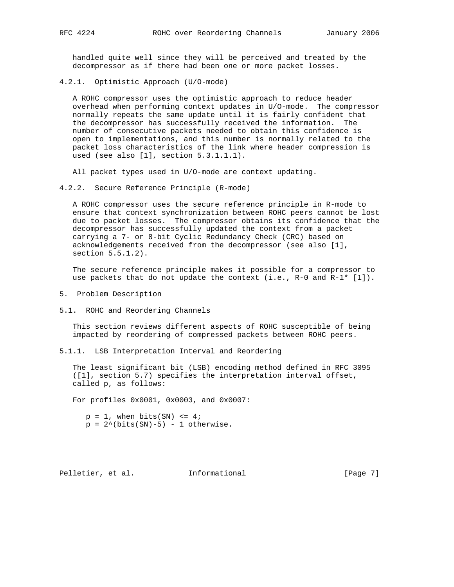handled quite well since they will be perceived and treated by the decompressor as if there had been one or more packet losses.

4.2.1. Optimistic Approach (U/O-mode)

 A ROHC compressor uses the optimistic approach to reduce header overhead when performing context updates in U/O-mode. The compressor normally repeats the same update until it is fairly confident that the decompressor has successfully received the information. The number of consecutive packets needed to obtain this confidence is open to implementations, and this number is normally related to the packet loss characteristics of the link where header compression is used (see also [1], section 5.3.1.1.1).

All packet types used in U/O-mode are context updating.

4.2.2. Secure Reference Principle (R-mode)

 A ROHC compressor uses the secure reference principle in R-mode to ensure that context synchronization between ROHC peers cannot be lost due to packet losses. The compressor obtains its confidence that the decompressor has successfully updated the context from a packet carrying a 7- or 8-bit Cyclic Redundancy Check (CRC) based on acknowledgements received from the decompressor (see also [1], section 5.5.1.2).

 The secure reference principle makes it possible for a compressor to use packets that do not update the context (i.e.,  $R-0$  and  $R-1*$  [1]).

- 5. Problem Description
- 5.1. ROHC and Reordering Channels

 This section reviews different aspects of ROHC susceptible of being impacted by reordering of compressed packets between ROHC peers.

5.1.1. LSB Interpretation Interval and Reordering

 The least significant bit (LSB) encoding method defined in RFC 3095 ([1], section 5.7) specifies the interpretation interval offset, called p, as follows:

For profiles 0x0001, 0x0003, and 0x0007:

- $p = 1$ , when bits(SN) <= 4;
- $p = 2^{\wedge}(\text{bits(SN)}-5) 1$  otherwise.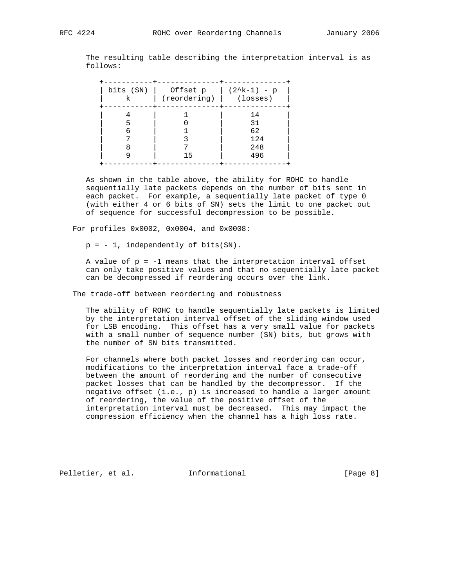The resulting table describing the interpretation interval is as follows:

| bits (SN) | Offset p     | (2^k-1) - p |
|-----------|--------------|-------------|
| k         | (reordering) | (losses)    |
| 5<br>6    | 15           |             |

 As shown in the table above, the ability for ROHC to handle sequentially late packets depends on the number of bits sent in each packet. For example, a sequentially late packet of type 0 (with either 4 or 6 bits of SN) sets the limit to one packet out of sequence for successful decompression to be possible.

For profiles 0x0002, 0x0004, and 0x0008:

 $p = -1$ , independently of bits(SN).

A value of  $p = -1$  means that the interpretation interval offset can only take positive values and that no sequentially late packet can be decompressed if reordering occurs over the link.

The trade-off between reordering and robustness

 The ability of ROHC to handle sequentially late packets is limited by the interpretation interval offset of the sliding window used for LSB encoding. This offset has a very small value for packets with a small number of sequence number (SN) bits, but grows with the number of SN bits transmitted.

 For channels where both packet losses and reordering can occur, modifications to the interpretation interval face a trade-off between the amount of reordering and the number of consecutive packet losses that can be handled by the decompressor. If the negative offset (i.e., p) is increased to handle a larger amount of reordering, the value of the positive offset of the interpretation interval must be decreased. This may impact the compression efficiency when the channel has a high loss rate.

Pelletier, et al. Informational [Page 8]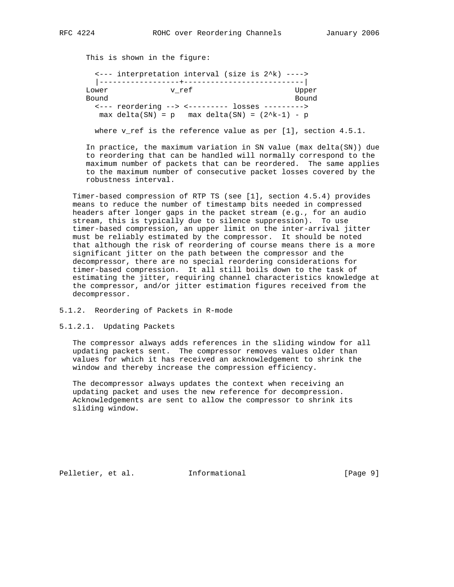This is shown in the figure:

|       | <--- interpretation interval (size is 2^k) ---->  |       |  |       |
|-------|---------------------------------------------------|-------|--|-------|
|       |                                                   |       |  |       |
| Lower |                                                   | v ref |  | Upper |
| Bound |                                                   |       |  | Bound |
|       | <--- reordering --> <--------- losses --------->  |       |  |       |
|       | $max$ delta(SN) = p max delta(SN) = $(2^k-1)$ - p |       |  |       |

where v ref is the reference value as per  $[1]$ , section  $4.5.1$ .

 In practice, the maximum variation in SN value (max delta(SN)) due to reordering that can be handled will normally correspond to the maximum number of packets that can be reordered. The same applies to the maximum number of consecutive packet losses covered by the robustness interval.

 Timer-based compression of RTP TS (see [1], section 4.5.4) provides means to reduce the number of timestamp bits needed in compressed headers after longer gaps in the packet stream (e.g., for an audio stream, this is typically due to silence suppression). To use timer-based compression, an upper limit on the inter-arrival jitter must be reliably estimated by the compressor. It should be noted that although the risk of reordering of course means there is a more significant jitter on the path between the compressor and the decompressor, there are no special reordering considerations for timer-based compression. It all still boils down to the task of estimating the jitter, requiring channel characteristics knowledge at the compressor, and/or jitter estimation figures received from the decompressor.

5.1.2. Reordering of Packets in R-mode

5.1.2.1. Updating Packets

 The compressor always adds references in the sliding window for all updating packets sent. The compressor removes values older than values for which it has received an acknowledgement to shrink the window and thereby increase the compression efficiency.

 The decompressor always updates the context when receiving an updating packet and uses the new reference for decompression. Acknowledgements are sent to allow the compressor to shrink its sliding window.

Pelletier, et al. Informational [Page 9]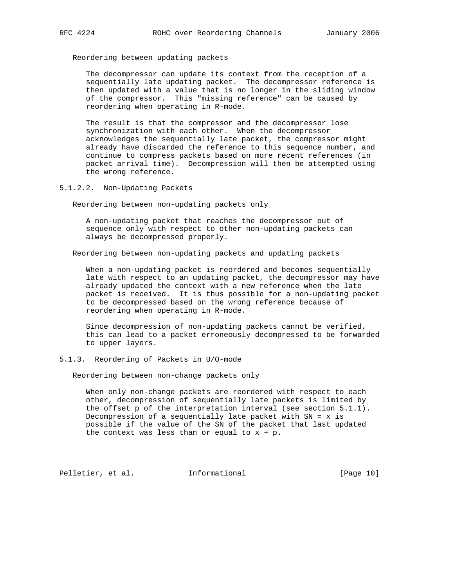Reordering between updating packets

 The decompressor can update its context from the reception of a sequentially late updating packet. The decompressor reference is then updated with a value that is no longer in the sliding window of the compressor. This "missing reference" can be caused by reordering when operating in R-mode.

 The result is that the compressor and the decompressor lose synchronization with each other. When the decompressor acknowledges the sequentially late packet, the compressor might already have discarded the reference to this sequence number, and continue to compress packets based on more recent references (in packet arrival time). Decompression will then be attempted using the wrong reference.

5.1.2.2. Non-Updating Packets

Reordering between non-updating packets only

 A non-updating packet that reaches the decompressor out of sequence only with respect to other non-updating packets can always be decompressed properly.

Reordering between non-updating packets and updating packets

 When a non-updating packet is reordered and becomes sequentially late with respect to an updating packet, the decompressor may have already updated the context with a new reference when the late packet is received. It is thus possible for a non-updating packet to be decompressed based on the wrong reference because of reordering when operating in R-mode.

 Since decompression of non-updating packets cannot be verified, this can lead to a packet erroneously decompressed to be forwarded to upper layers.

# 5.1.3. Reordering of Packets in U/O-mode

Reordering between non-change packets only

 When only non-change packets are reordered with respect to each other, decompression of sequentially late packets is limited by the offset p of the interpretation interval (see section 5.1.1). Decompression of a sequentially late packet with  $SN = x$  is possible if the value of the SN of the packet that last updated the context was less than or equal to  $x + p$ .

Pelletier, et al. Informational [Page 10]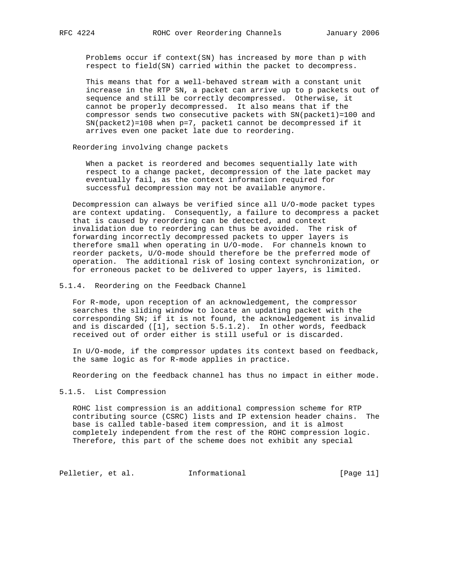Problems occur if context(SN) has increased by more than p with respect to field(SN) carried within the packet to decompress.

 This means that for a well-behaved stream with a constant unit increase in the RTP SN, a packet can arrive up to p packets out of sequence and still be correctly decompressed. Otherwise, it cannot be properly decompressed. It also means that if the compressor sends two consecutive packets with SN(packet1)=100 and SN(packet2)=108 when p=7, packet1 cannot be decompressed if it arrives even one packet late due to reordering.

Reordering involving change packets

 When a packet is reordered and becomes sequentially late with respect to a change packet, decompression of the late packet may eventually fail, as the context information required for successful decompression may not be available anymore.

 Decompression can always be verified since all U/O-mode packet types are context updating. Consequently, a failure to decompress a packet that is caused by reordering can be detected, and context invalidation due to reordering can thus be avoided. The risk of forwarding incorrectly decompressed packets to upper layers is therefore small when operating in U/O-mode. For channels known to reorder packets, U/O-mode should therefore be the preferred mode of operation. The additional risk of losing context synchronization, or for erroneous packet to be delivered to upper layers, is limited.

5.1.4. Reordering on the Feedback Channel

 For R-mode, upon reception of an acknowledgement, the compressor searches the sliding window to locate an updating packet with the corresponding SN; if it is not found, the acknowledgement is invalid and is discarded ([1], section 5.5.1.2). In other words, feedback received out of order either is still useful or is discarded.

 In U/O-mode, if the compressor updates its context based on feedback, the same logic as for R-mode applies in practice.

Reordering on the feedback channel has thus no impact in either mode.

# 5.1.5. List Compression

 ROHC list compression is an additional compression scheme for RTP contributing source (CSRC) lists and IP extension header chains. The base is called table-based item compression, and it is almost completely independent from the rest of the ROHC compression logic. Therefore, this part of the scheme does not exhibit any special

Pelletier, et al. 1nformational [Page 11]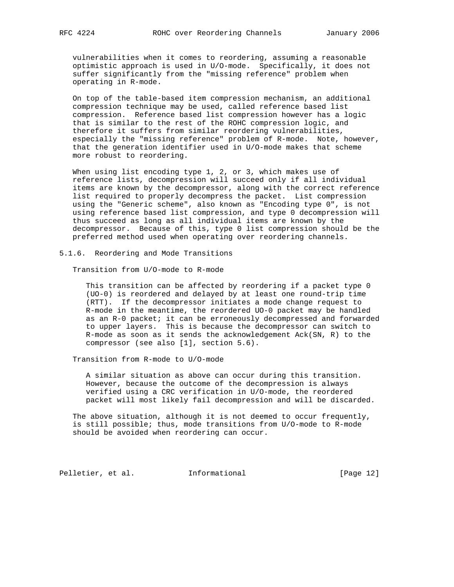vulnerabilities when it comes to reordering, assuming a reasonable optimistic approach is used in U/O-mode. Specifically, it does not suffer significantly from the "missing reference" problem when operating in R-mode.

 On top of the table-based item compression mechanism, an additional compression technique may be used, called reference based list compression. Reference based list compression however has a logic that is similar to the rest of the ROHC compression logic, and therefore it suffers from similar reordering vulnerabilities, especially the "missing reference" problem of R-mode. Note, however, that the generation identifier used in U/O-mode makes that scheme more robust to reordering.

 When using list encoding type 1, 2, or 3, which makes use of reference lists, decompression will succeed only if all individual items are known by the decompressor, along with the correct reference list required to properly decompress the packet. List compression using the "Generic scheme", also known as "Encoding type 0", is not using reference based list compression, and type 0 decompression will thus succeed as long as all individual items are known by the decompressor. Because of this, type 0 list compression should be the preferred method used when operating over reordering channels.

5.1.6. Reordering and Mode Transitions

Transition from U/O-mode to R-mode

 This transition can be affected by reordering if a packet type 0 (UO-0) is reordered and delayed by at least one round-trip time (RTT). If the decompressor initiates a mode change request to R-mode in the meantime, the reordered UO-0 packet may be handled as an R-0 packet; it can be erroneously decompressed and forwarded to upper layers. This is because the decompressor can switch to R-mode as soon as it sends the acknowledgement Ack(SN, R) to the compressor (see also [1], section 5.6).

Transition from R-mode to U/O-mode

 A similar situation as above can occur during this transition. However, because the outcome of the decompression is always verified using a CRC verification in U/O-mode, the reordered packet will most likely fail decompression and will be discarded.

 The above situation, although it is not deemed to occur frequently, is still possible; thus, mode transitions from U/O-mode to R-mode should be avoided when reordering can occur.

Pelletier, et al. 1nformational [Page 12]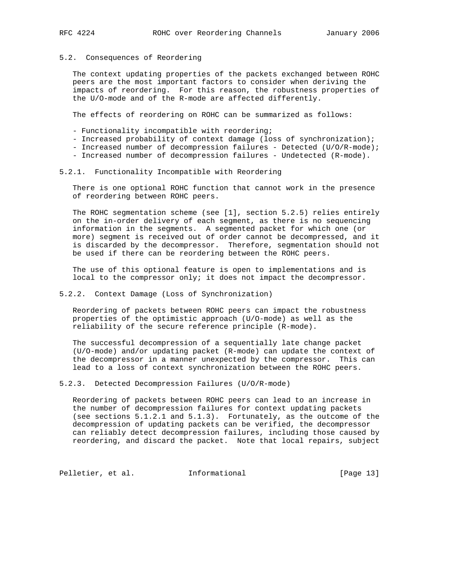# 5.2. Consequences of Reordering

 The context updating properties of the packets exchanged between ROHC peers are the most important factors to consider when deriving the impacts of reordering. For this reason, the robustness properties of the U/O-mode and of the R-mode are affected differently.

The effects of reordering on ROHC can be summarized as follows:

- Functionality incompatible with reordering;
- Increased probability of context damage (loss of synchronization);
- Increased number of decompression failures Detected (U/O/R-mode);
- Increased number of decompression failures Undetected (R-mode).

#### 5.2.1. Functionality Incompatible with Reordering

 There is one optional ROHC function that cannot work in the presence of reordering between ROHC peers.

 The ROHC segmentation scheme (see [1], section 5.2.5) relies entirely on the in-order delivery of each segment, as there is no sequencing information in the segments. A segmented packet for which one (or more) segment is received out of order cannot be decompressed, and it is discarded by the decompressor. Therefore, segmentation should not be used if there can be reordering between the ROHC peers.

 The use of this optional feature is open to implementations and is local to the compressor only; it does not impact the decompressor.

#### 5.2.2. Context Damage (Loss of Synchronization)

 Reordering of packets between ROHC peers can impact the robustness properties of the optimistic approach (U/O-mode) as well as the reliability of the secure reference principle (R-mode).

 The successful decompression of a sequentially late change packet (U/O-mode) and/or updating packet (R-mode) can update the context of the decompressor in a manner unexpected by the compressor. This can lead to a loss of context synchronization between the ROHC peers.

5.2.3. Detected Decompression Failures (U/O/R-mode)

 Reordering of packets between ROHC peers can lead to an increase in the number of decompression failures for context updating packets (see sections 5.1.2.1 and 5.1.3). Fortunately, as the outcome of the decompression of updating packets can be verified, the decompressor can reliably detect decompression failures, including those caused by reordering, and discard the packet. Note that local repairs, subject

Pelletier, et al. 1nformational [Page 13]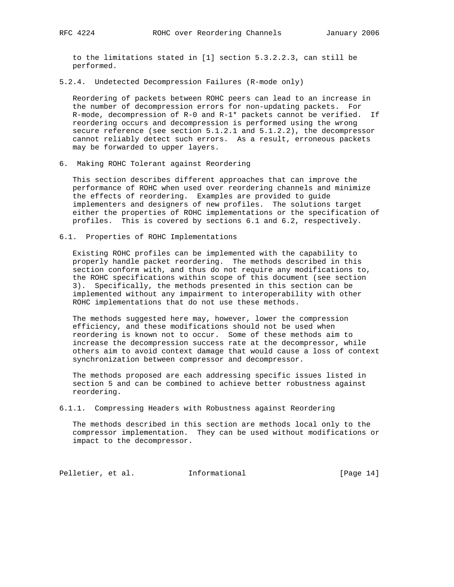to the limitations stated in [1] section 5.3.2.2.3, can still be performed.

5.2.4. Undetected Decompression Failures (R-mode only)

 Reordering of packets between ROHC peers can lead to an increase in the number of decompression errors for non-updating packets. For R-mode, decompression of  $R-0$  and  $R-1*$  packets cannot be verified. If reordering occurs and decompression is performed using the wrong secure reference (see section 5.1.2.1 and 5.1.2.2), the decompressor cannot reliably detect such errors. As a result, erroneous packets may be forwarded to upper layers.

6. Making ROHC Tolerant against Reordering

 This section describes different approaches that can improve the performance of ROHC when used over reordering channels and minimize the effects of reordering. Examples are provided to guide implementers and designers of new profiles. The solutions target either the properties of ROHC implementations or the specification of profiles. This is covered by sections 6.1 and 6.2, respectively.

6.1. Properties of ROHC Implementations

 Existing ROHC profiles can be implemented with the capability to properly handle packet reordering. The methods described in this section conform with, and thus do not require any modifications to, the ROHC specifications within scope of this document (see section 3). Specifically, the methods presented in this section can be implemented without any impairment to interoperability with other ROHC implementations that do not use these methods.

 The methods suggested here may, however, lower the compression efficiency, and these modifications should not be used when reordering is known not to occur. Some of these methods aim to increase the decompression success rate at the decompressor, while others aim to avoid context damage that would cause a loss of context synchronization between compressor and decompressor.

 The methods proposed are each addressing specific issues listed in section 5 and can be combined to achieve better robustness against reordering.

6.1.1. Compressing Headers with Robustness against Reordering

 The methods described in this section are methods local only to the compressor implementation. They can be used without modifications or impact to the decompressor.

Pelletier, et al. 1nformational [Page 14]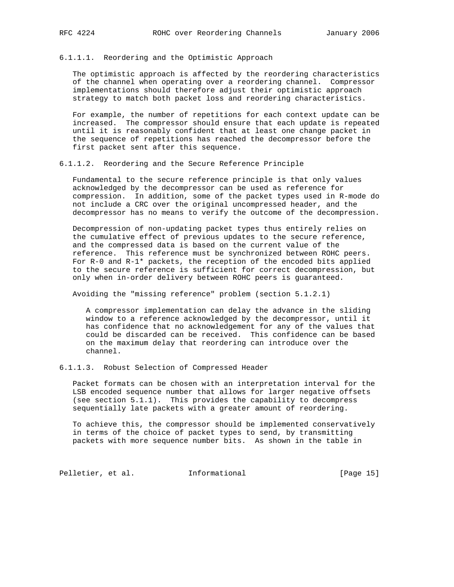# 6.1.1.1. Reordering and the Optimistic Approach

 The optimistic approach is affected by the reordering characteristics of the channel when operating over a reordering channel. Compressor implementations should therefore adjust their optimistic approach strategy to match both packet loss and reordering characteristics.

 For example, the number of repetitions for each context update can be increased. The compressor should ensure that each update is repeated until it is reasonably confident that at least one change packet in the sequence of repetitions has reached the decompressor before the first packet sent after this sequence.

#### 6.1.1.2. Reordering and the Secure Reference Principle

 Fundamental to the secure reference principle is that only values acknowledged by the decompressor can be used as reference for compression. In addition, some of the packet types used in R-mode do not include a CRC over the original uncompressed header, and the decompressor has no means to verify the outcome of the decompression.

 Decompression of non-updating packet types thus entirely relies on the cumulative effect of previous updates to the secure reference, and the compressed data is based on the current value of the reference. This reference must be synchronized between ROHC peers. For R-0 and R-1\* packets, the reception of the encoded bits applied to the secure reference is sufficient for correct decompression, but only when in-order delivery between ROHC peers is guaranteed.

Avoiding the "missing reference" problem (section 5.1.2.1)

 A compressor implementation can delay the advance in the sliding window to a reference acknowledged by the decompressor, until it has confidence that no acknowledgement for any of the values that could be discarded can be received. This confidence can be based on the maximum delay that reordering can introduce over the channel.

6.1.1.3. Robust Selection of Compressed Header

 Packet formats can be chosen with an interpretation interval for the LSB encoded sequence number that allows for larger negative offsets (see section 5.1.1). This provides the capability to decompress sequentially late packets with a greater amount of reordering.

 To achieve this, the compressor should be implemented conservatively in terms of the choice of packet types to send, by transmitting packets with more sequence number bits. As shown in the table in

Pelletier, et al. 1nformational [Page 15]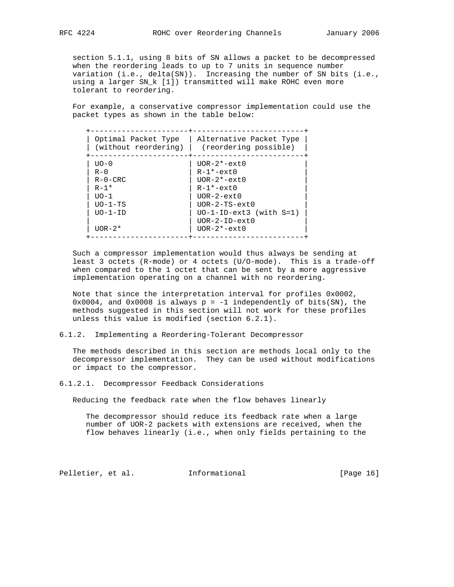section 5.1.1, using 8 bits of SN allows a packet to be decompressed when the reordering leads to up to 7 units in sequence number variation (i.e., delta(SN)). Increasing the number of SN bits (i.e., using a larger SN\_k [1]) transmitted will make ROHC even more tolerant to reordering.

 For example, a conservative compressor implementation could use the packet types as shown in the table below:

| Optimal Packet Type<br>(without reordering) | Alternative Packet Type<br>(reordering possible) |
|---------------------------------------------|--------------------------------------------------|
| $UO - 0$                                    | $UOR-2*-ext0$                                    |
| $R - 0$                                     | $R-1*-ext0$                                      |
| $R - 0 - CRC$                               | $UOR-2*-ext0$                                    |
| $R - 1*$                                    | $R-1*-ext0$                                      |
| $TIO-1$                                     | $UOR-2-ext0$                                     |
| $UO-1-TS$                                   | $UOR-2-TS-ext0$                                  |
| $UO-1-ID$                                   | $UO-I-ID-ext3$ (with $S=1$ )                     |
|                                             | $UOR-2-ID-ext0$                                  |
| $UOR-2*$                                    | $UOR-2*-ext0$                                    |

 Such a compressor implementation would thus always be sending at least 3 octets (R-mode) or 4 octets (U/O-mode). This is a trade-off when compared to the 1 octet that can be sent by a more aggressive implementation operating on a channel with no reordering.

 Note that since the interpretation interval for profiles 0x0002,  $0x0004$ , and  $0x0008$  is always  $p = -1$  independently of bits(SN), the methods suggested in this section will not work for these profiles unless this value is modified (section 6.2.1).

6.1.2. Implementing a Reordering-Tolerant Decompressor

 The methods described in this section are methods local only to the decompressor implementation. They can be used without modifications or impact to the compressor.

6.1.2.1. Decompressor Feedback Considerations

Reducing the feedback rate when the flow behaves linearly

 The decompressor should reduce its feedback rate when a large number of UOR-2 packets with extensions are received, when the flow behaves linearly (i.e., when only fields pertaining to the

Pelletier, et al. Informational [Page 16]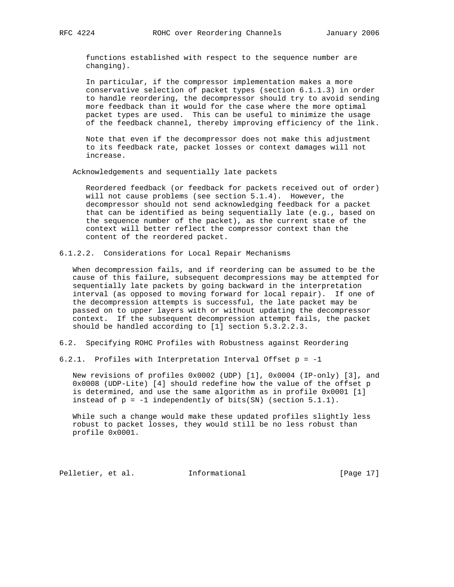functions established with respect to the sequence number are changing).

 In particular, if the compressor implementation makes a more conservative selection of packet types (section 6.1.1.3) in order to handle reordering, the decompressor should try to avoid sending more feedback than it would for the case where the more optimal packet types are used. This can be useful to minimize the usage of the feedback channel, thereby improving efficiency of the link.

 Note that even if the decompressor does not make this adjustment to its feedback rate, packet losses or context damages will not increase.

Acknowledgements and sequentially late packets

 Reordered feedback (or feedback for packets received out of order) will not cause problems (see section 5.1.4). However, the decompressor should not send acknowledging feedback for a packet that can be identified as being sequentially late (e.g., based on the sequence number of the packet), as the current state of the context will better reflect the compressor context than the content of the reordered packet.

6.1.2.2. Considerations for Local Repair Mechanisms

 When decompression fails, and if reordering can be assumed to be the cause of this failure, subsequent decompressions may be attempted for sequentially late packets by going backward in the interpretation interval (as opposed to moving forward for local repair). If one of the decompression attempts is successful, the late packet may be passed on to upper layers with or without updating the decompressor context. If the subsequent decompression attempt fails, the packet should be handled according to [1] section 5.3.2.2.3.

6.2. Specifying ROHC Profiles with Robustness against Reordering

6.2.1. Profiles with Interpretation Interval Offset p = -1

 New revisions of profiles 0x0002 (UDP) [1], 0x0004 (IP-only) [3], and 0x0008 (UDP-Lite) [4] should redefine how the value of the offset p is determined, and use the same algorithm as in profile 0x0001 [1] instead of  $p = -1$  independently of bits(SN) (section 5.1.1).

 While such a change would make these updated profiles slightly less robust to packet losses, they would still be no less robust than profile 0x0001.

Pelletier, et al. Informational [Page 17]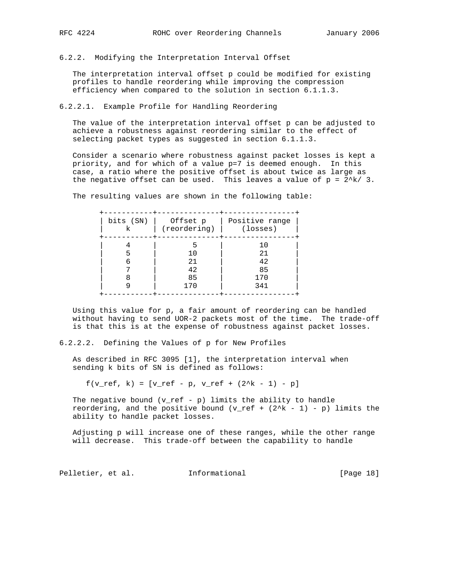6.2.2. Modifying the Interpretation Interval Offset

 The interpretation interval offset p could be modified for existing profiles to handle reordering while improving the compression efficiency when compared to the solution in section 6.1.1.3.

6.2.2.1. Example Profile for Handling Reordering

 The value of the interpretation interval offset p can be adjusted to achieve a robustness against reordering similar to the effect of selecting packet types as suggested in section 6.1.1.3.

 Consider a scenario where robustness against packet losses is kept a priority, and for which of a value p=7 is deemed enough. In this case, a ratio where the positive offset is about twice as large as the negative offset can be used. This leaves a value of  $p = 2/k/3$ .

The resulting values are shown in the following table:

| bits (SN) | Offset p                         | Positive range |
|-----------|----------------------------------|----------------|
| k         | (reordering)                     | (losses)       |
| 6         | 5<br>10<br>21<br>42<br>85<br>170 |                |

 Using this value for p, a fair amount of reordering can be handled without having to send UOR-2 packets most of the time. The trade-off is that this is at the expense of robustness against packet losses.

6.2.2.2. Defining the Values of p for New Profiles

 As described in RFC 3095 [1], the interpretation interval when sending k bits of SN is defined as follows:

 $f(v_ref, k) = [v_ref - p, v_ref + (2^k - 1) - p]$ 

The negative bound  $(v_ref - p)$  limits the ability to handle reordering, and the positive bound  $(v_ref + (2^k - 1) - p)$  limits the ability to handle packet losses.

 Adjusting p will increase one of these ranges, while the other range will decrease. This trade-off between the capability to handle

Pelletier, et al. 1nformational [Page 18]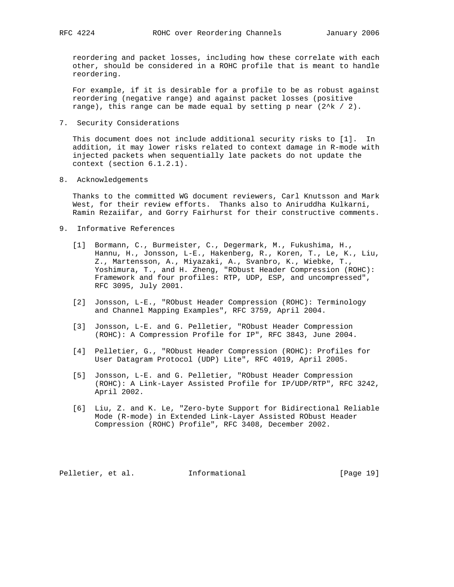reordering and packet losses, including how these correlate with each other, should be considered in a ROHC profile that is meant to handle reordering.

 For example, if it is desirable for a profile to be as robust against reordering (negative range) and against packet losses (positive range), this range can be made equal by setting p near  $(2^k \times 2)$ .

7. Security Considerations

 This document does not include additional security risks to [1]. In addition, it may lower risks related to context damage in R-mode with injected packets when sequentially late packets do not update the context (section 6.1.2.1).

8. Acknowledgements

 Thanks to the committed WG document reviewers, Carl Knutsson and Mark West, for their review efforts. Thanks also to Aniruddha Kulkarni, Ramin Rezaiifar, and Gorry Fairhurst for their constructive comments.

- 9. Informative References
- [1] Bormann, C., Burmeister, C., Degermark, M., Fukushima, H., Hannu, H., Jonsson, L-E., Hakenberg, R., Koren, T., Le, K., Liu, Z., Martensson, A., Miyazaki, A., Svanbro, K., Wiebke, T., Yoshimura, T., and H. Zheng, "RObust Header Compression (ROHC): Framework and four profiles: RTP, UDP, ESP, and uncompressed", RFC 3095, July 2001.
	- [2] Jonsson, L-E., "RObust Header Compression (ROHC): Terminology and Channel Mapping Examples", RFC 3759, April 2004.
	- [3] Jonsson, L-E. and G. Pelletier, "RObust Header Compression (ROHC): A Compression Profile for IP", RFC 3843, June 2004.
	- [4] Pelletier, G., "RObust Header Compression (ROHC): Profiles for User Datagram Protocol (UDP) Lite", RFC 4019, April 2005.
	- [5] Jonsson, L-E. and G. Pelletier, "RObust Header Compression (ROHC): A Link-Layer Assisted Profile for IP/UDP/RTP", RFC 3242, April 2002.
	- [6] Liu, Z. and K. Le, "Zero-byte Support for Bidirectional Reliable Mode (R-mode) in Extended Link-Layer Assisted RObust Header Compression (ROHC) Profile", RFC 3408, December 2002.

Pelletier, et al. Informational [Page 19]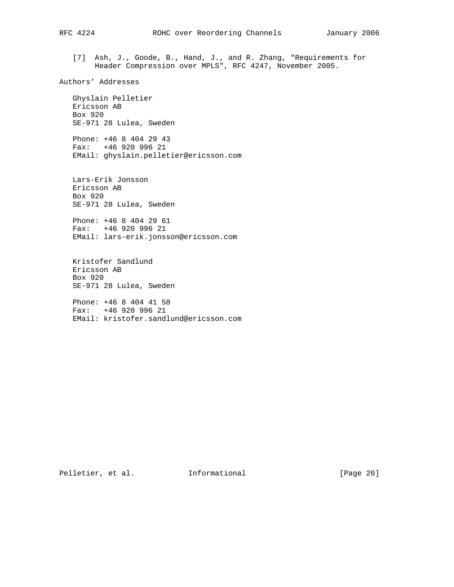[7] Ash, J., Goode, B., Hand, J., and R. Zhang, "Requirements for Header Compression over MPLS", RFC 4247, November 2005.

Authors' Addresses

 Ghyslain Pelletier Ericsson AB Box 920 SE-971 28 Lulea, Sweden

 Phone: +46 8 404 29 43 Fax: +46 920 996 21 EMail: ghyslain.pelletier@ericsson.com

 Lars-Erik Jonsson Ericsson AB Box 920 SE-971 28 Lulea, Sweden

 Phone: +46 8 404 29 61 Fax: +46 920 996 21 EMail: lars-erik.jonsson@ericsson.com

 Kristofer Sandlund Ericsson AB Box 920 SE-971 28 Lulea, Sweden

 Phone: +46 8 404 41 58 Fax: +46 920 996 21 EMail: kristofer.sandlund@ericsson.com

Pelletier, et al. 1nformational [Page 20]